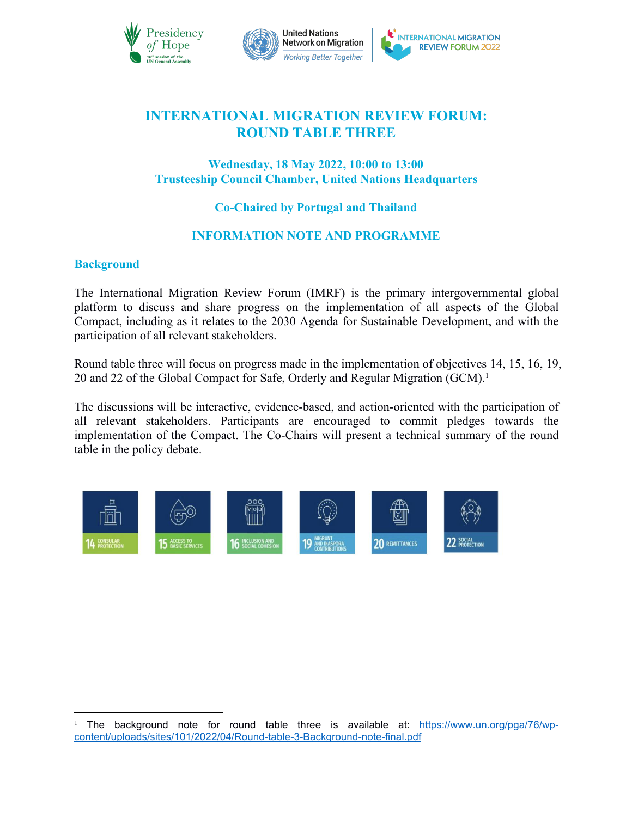



# **INTERNATIONAL MIGRATION REVIEW FORUM: ROUND TABLE THREE**

# **Wednesday, 18 May 2022, 10:00 to 13:00 Trusteeship Council Chamber, United Nations Headquarters**

# **Co-Chaired by Portugal and Thailand**

# **INFORMATION NOTE AND PROGRAMME**

## **Background**

The International Migration Review Forum (IMRF) is the primary intergovernmental global platform to discuss and share progress on the implementation of all aspects of the Global Compact, including as it relates to the 2030 Agenda for Sustainable Development, and with the participation of all relevant stakeholders.

Round table three will focus on progress made in the implementation of objectives 14, 15, 16, 19, 20 and 22 of the Global Compact for Safe, Orderly and Regular Migration (GCM).<sup>[1](#page-0-0)</sup>

The discussions will be interactive, evidence-based, and action-oriented with the participation of all relevant stakeholders. Participants are encouraged to commit pledges towards the implementation of the Compact. The Co-Chairs will present a technical summary of the round table in the policy debate.



<span id="page-0-0"></span><sup>&</sup>lt;sup>1</sup> The background note for round table three is available at: [https://www.un.org/pga/76/wp](https://www.un.org/pga/76/wp-content/uploads/sites/101/2022/04/Round-table-3-Background-note-final.pdf) content/uploads/sites/101/2022/04/Round-table-3-Background-note-final.pdf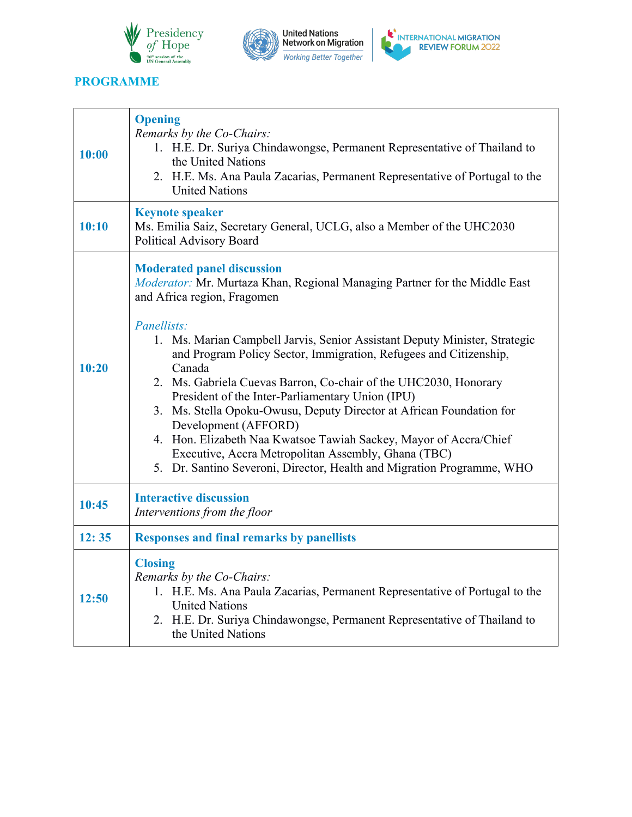





┑

# **PROGRAMME**

T

| 10:00 | <b>Opening</b><br>Remarks by the Co-Chairs:<br>1. H.E. Dr. Suriya Chindawongse, Permanent Representative of Thailand to<br>the United Nations<br>2. H.E. Ms. Ana Paula Zacarias, Permanent Representative of Portugal to the<br><b>United Nations</b>                                                                                                                                                                                                                                                                                                                                                                                                                                                                                                    |  |
|-------|----------------------------------------------------------------------------------------------------------------------------------------------------------------------------------------------------------------------------------------------------------------------------------------------------------------------------------------------------------------------------------------------------------------------------------------------------------------------------------------------------------------------------------------------------------------------------------------------------------------------------------------------------------------------------------------------------------------------------------------------------------|--|
| 10:10 | <b>Keynote speaker</b><br>Ms. Emilia Saiz, Secretary General, UCLG, also a Member of the UHC2030<br>Political Advisory Board                                                                                                                                                                                                                                                                                                                                                                                                                                                                                                                                                                                                                             |  |
| 10:20 | <b>Moderated panel discussion</b><br>Moderator: Mr. Murtaza Khan, Regional Managing Partner for the Middle East<br>and Africa region, Fragomen<br>Panellists:<br>1. Ms. Marian Campbell Jarvis, Senior Assistant Deputy Minister, Strategic<br>and Program Policy Sector, Immigration, Refugees and Citizenship,<br>Canada<br>2. Ms. Gabriela Cuevas Barron, Co-chair of the UHC2030, Honorary<br>President of the Inter-Parliamentary Union (IPU)<br>3. Ms. Stella Opoku-Owusu, Deputy Director at African Foundation for<br>Development (AFFORD)<br>4. Hon. Elizabeth Naa Kwatsoe Tawiah Sackey, Mayor of Accra/Chief<br>Executive, Accra Metropolitan Assembly, Ghana (TBC)<br>5. Dr. Santino Severoni, Director, Health and Migration Programme, WHO |  |
| 10:45 | <b>Interactive discussion</b><br>Interventions from the floor                                                                                                                                                                                                                                                                                                                                                                                                                                                                                                                                                                                                                                                                                            |  |
| 12:35 | <b>Responses and final remarks by panellists</b>                                                                                                                                                                                                                                                                                                                                                                                                                                                                                                                                                                                                                                                                                                         |  |
| 12:50 | <b>Closing</b><br>Remarks by the Co-Chairs:<br>1. H.E. Ms. Ana Paula Zacarias, Permanent Representative of Portugal to the<br><b>United Nations</b><br>2. H.E. Dr. Suriya Chindawongse, Permanent Representative of Thailand to<br>the United Nations                                                                                                                                                                                                                                                                                                                                                                                                                                                                                                    |  |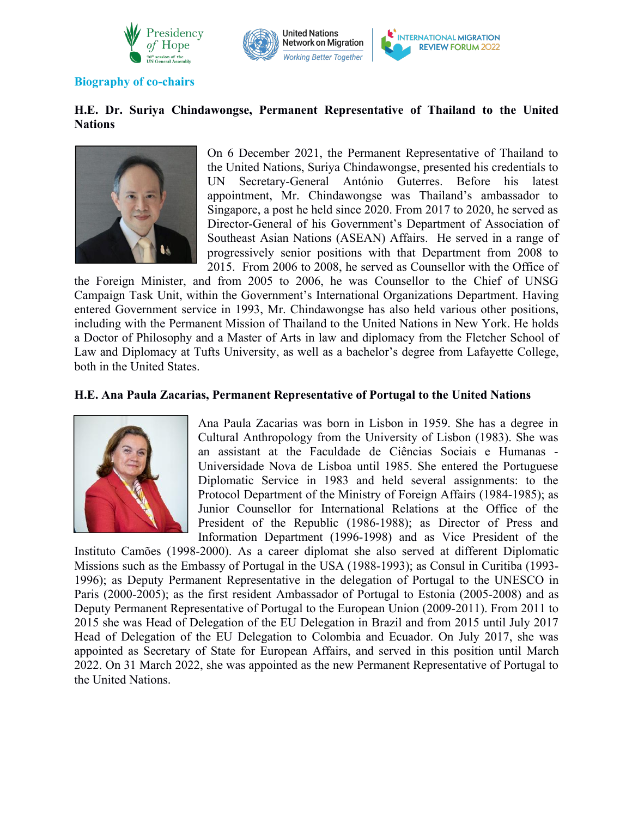



#### **Biography of co-chairs**

### **H.E. Dr. Suriya Chindawongse, Permanent Representative of Thailand to the United Nations**



On 6 December 2021, the Permanent Representative of Thailand to the United Nations, Suriya Chindawongse, presented his credentials to UN Secretary-General António Guterres. Before his latest appointment, Mr. Chindawongse was Thailand's ambassador to Singapore, a post he held since 2020. From 2017 to 2020, he served as Director-General of his Government's Department of Association of Southeast Asian Nations (ASEAN) Affairs. He served in a range of progressively senior positions with that Department from 2008 to 2015. From 2006 to 2008, he served as Counsellor with the Office of

the Foreign Minister, and from 2005 to 2006, he was Counsellor to the Chief of UNSG Campaign Task Unit, within the Government's International Organizations Department. Having entered Government service in 1993, Mr. Chindawongse has also held various other positions, including with the Permanent Mission of Thailand to the United Nations in New York. He holds a Doctor of Philosophy and a Master of Arts in law and diplomacy from the Fletcher School of Law and Diplomacy at Tufts University, as well as a bachelor's degree from Lafayette College, both in the United States.

#### **H.E. Ana Paula Zacarias, Permanent Representative of Portugal to the United Nations**



Ana Paula Zacarias was born in Lisbon in 1959. She has a degree in Cultural Anthropology from the University of Lisbon (1983). She was an assistant at the Faculdade de Ciências Sociais <sup>e</sup> Humanas -Universidade Nova de Lisboa until 1985. She entered the Portuguese Diplomatic Service in 1983 and held several assignments: to the Protocol Department of the Ministry of Foreign Affairs (1984-1985); as Junior Counsellor for International Relations at the Office of the President of the Republic (1986-1988); as Director of Press and Information Department (1996-1998) and as Vice President of the

Instituto Camões (1998-2000). As a career diplomat she also served at different Diplomatic Missions such as the Embassy of Portugal in the USA (1988-1993); as Consul in Curitiba (1993- 1996); as Deputy Permanent Representative in the delegation of Portugal to the UNESCO in Paris (2000-2005); as the first resident Ambassador of Portugal to Estonia (2005-2008) and as Deputy Permanent Representative of Portugal to the European Union (2009-2011). From 2011 to 2015 she was Head of Delegation of the EU Delegation in Brazil and from 2015 until July 2017 Head of Delegation of the EU Delegation to Colombia and Ecuador. On July 2017, she was appointed as Secretary of State for European Affairs, and served in this position until March 2022. On 31 March 2022, she was appointed as the new Permanent Representative of Portugal to the United Nations.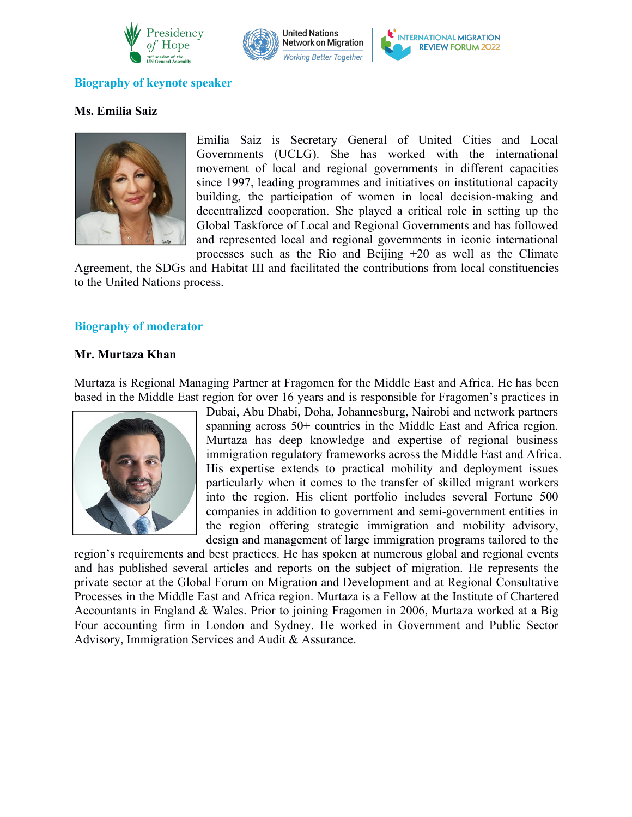





#### **Biography of keynote speaker**

# **Ms. Emilia Saiz**



Emilia Saiz is Secretary General of United Cities and Local Governments (UCLG). She has worked with the international movement of local and regional governments in different capacities since 1997, leading programmes and initiatives on institutional capacity building, the participation of women in local decision-making and decentralized cooperation. She played a critical role in setting up the Global Taskforce of Local and Regional Governments and has followed and represented local and regional governments in iconic international processes such as the Rio and Beijing +20 as well as the Climate

Agreement, the SDGs and Habitat III and facilitated the contributions from local constituencies to the United Nations process.

#### **Biography of moderator**

#### **Mr. Murtaza Khan**

Murtaza is Regional Managing Partner at Fragomen for the Middle East and Africa. He has been based in the Middle East region for over 16 years and is responsible for Fragomen's practices in



Dubai, Abu Dhabi, Doha, Johannesburg, Nairobi and network partners spanning across 50+ countries in the Middle East and Africa region. Murtaza has deep knowledge and expertise of regional business immigration regulatory frameworks across the Middle East and Africa. His expertise extends to practical mobility and deployment issues particularly when it comes to the transfer of skilled migrant workers into the region. His client portfolio includes several Fortune 500 companies in addition to government and semi-government entities in the region offering strategic immigration and mobility advisory, design and management of large immigration programs tailored to the

region's requirements and best practices. He has spoken at numerous global and regional events and has published several articles and reports on the subject of migration. He represents the private sector at the Global Forum on Migration and Development and at Regional Consultative Processes in the Middle East and Africa region. Murtaza is a Fellow at the Institute of Chartered Accountants in England & Wales. Prior to joining Fragomen in 2006, Murtaza worked at a Big Four accounting firm in London and Sydney. He worked in Government and Public Sector Advisory, Immigration Services and Audit & Assurance.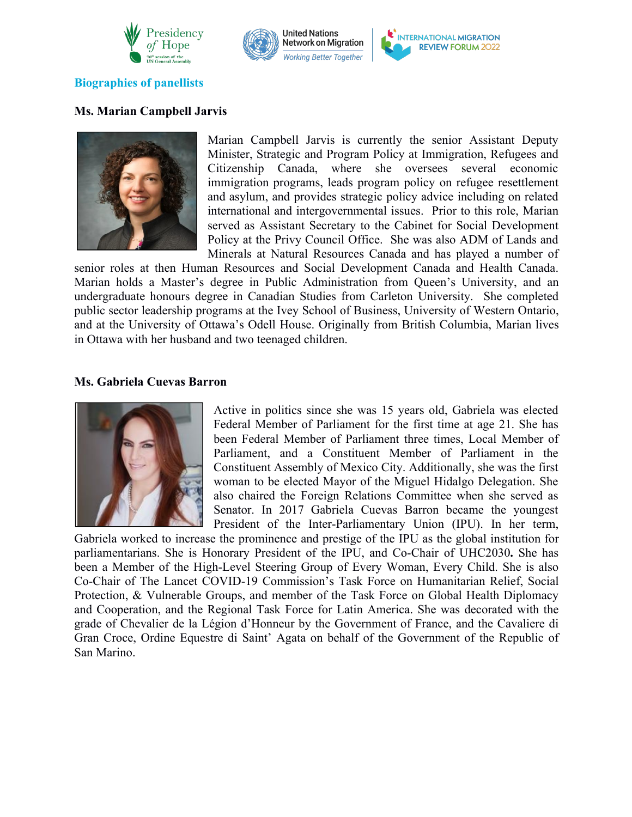





### **Biographies** of panellists

### **Ms. Marian Campbell Jarvis**



Marian Campbell Jarvis is currently the senior Assistant Deputy Minister, Strategic and Program Policy at Immigration, Refugees and Citizenship Canada, where she oversees several economic immigration programs, leads program policy on refugee resettlement and asylum, and provides strategic policy advice including on related international and intergovernmental issues. Prior to this role, Marian served as Assistant Secretary to the Cabinet for Social Development Policy at the Privy Council Office. She was also ADM of Lands and Minerals at Natural Resources Canada and has played a number of

senior roles at then Human Resources and Social Development Canada and Health Canada. Marian holds a Master's degree in Public Administration from Queen's University, and an undergraduate honours degree in Canadian Studies from Carleton University. She completed public sector leadership programs at the Ivey School of Business, University of Western Ontario, and at the University of Ottawa's Odell House. Originally from British Columbia, Marian lives in Ottawa with her husband and two teenaged children.

#### **Ms. Gabriela Cuevas Barron**



Active in politics since she was 15 years old, Gabriela was elected Federal Member of Parliament for the first time at age 21. She has been Federal Member of Parliament three times, Local Member of Parliament, and a Constituent Member of Parliament in the Constituent Assembly of Mexico City. Additionally, she was the first woman to be elected Mayor of the Miguel Hidalgo Delegation. She also chaired the Foreign Relations Committee when she served as Senator. In 2017 Gabriela Cuevas Barron became the youngest President of the Inter-Parliamentary Union (IPU). In her term,

Gabriela worked to increase the prominence and prestige of the IPU as the global institution for parliamentarians. She is Honorary President of the IPU, and Co-Chair of UHC2030**.** She has been a Member of the High-Level Steering Group of Every Woman, Every Child. She is also Co-Chair of The Lancet COVID-19 Commission's Task Force on Humanitarian Relief, Social Protection, & Vulnerable Groups, and member of the Task Force on Global Health Diplomacy and Cooperation, and the Regional Task Force for Latin America. She was decorated with the grade of Chevalier de la Légion d'Honneur by the Government of France, and the Cavaliere di Gran Croce, Ordine Equestre di Saint' Agata on behalf of the Government of the Republic of San Marino.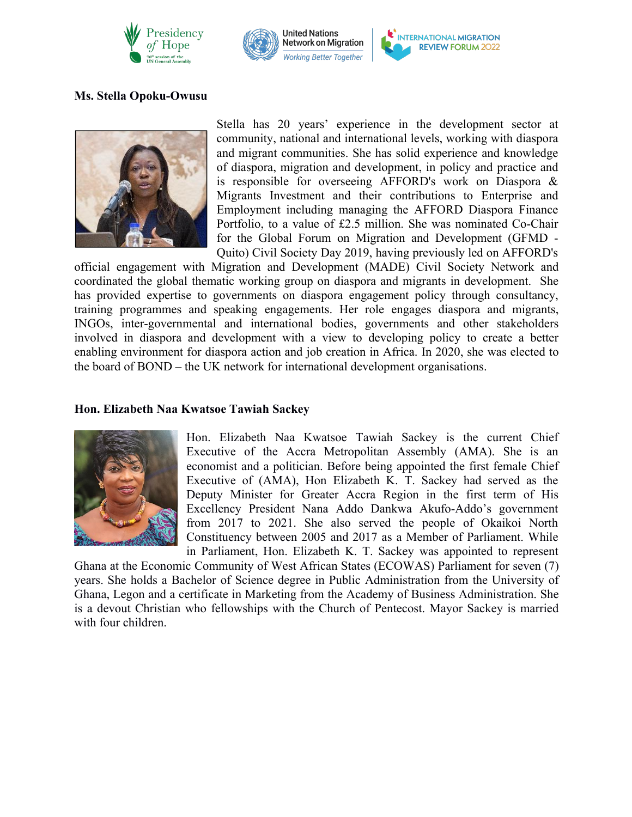





## **Ms. Stella Opoku-Owusu**



Stella has 20 years' experience in the development sector at community, national and international levels, working with diaspora and migrant communities. She has solid experience and knowledge of diaspora, migration and development, in policy and practice and is responsible for overseeing AFFORD's work on Diaspora & Migrants Investment and their contributions to Enterprise and Employment including managing the AFFORD Diaspora Finance Portfolio, to a value of £2.5 million. She was nominated Co-Chair for the Global Forum on Migration and Development (GFMD - Quito) Civil Society Day 2019, having previously led on AFFORD's

official engagement with Migration and Development (MADE) Civil Society Network and coordinated the global thematic working group on diaspora and migrants in development. She has provided expertise to governments on diaspora engagement policy through consultancy, training programmes and speaking engagements. Her role engages diaspora and migrants, INGOs, inter-governmental and international bodies, governments and other stakeholders involved in diaspora and development with a view to developing policy to create a better enabling environment for diaspora action and job creation in Africa. In 2020, she was elected to the board of BOND – the UK network for international development organisations.

#### **Hon. Elizabeth Naa Kwatsoe Tawiah Sackey**



Hon. Elizabeth Naa Kwatsoe Tawiah Sackey is the current Chief Executive of the Accra Metropolitan Assembly (AMA). She is an economist and a politician. Before being appointed the first female Chief Executive of (AMA), Hon Elizabeth K. T. Sackey had served as the Deputy Minister for Greater Accra Region in the first term of His Excellency President Nana Addo Dankwa Akufo-Addo's government from 2017 to 2021. She also served the people of Okaikoi North Constituency between 2005 and 2017 as a Member of Parliament. While in Parliament, Hon. Elizabeth K. T. Sackey was appointed to represent

Ghana at the Economic Community of West African States (ECOWAS) Parliament for seven (7) years. She holds a Bachelor of Science degree in Public Administration from the University of Ghana, Legon and a certificate in Marketing from the Academy of Business Administration. She is a devout Christian who fellowships with the Church of Pentecost. Mayor Sackey is married with four children.